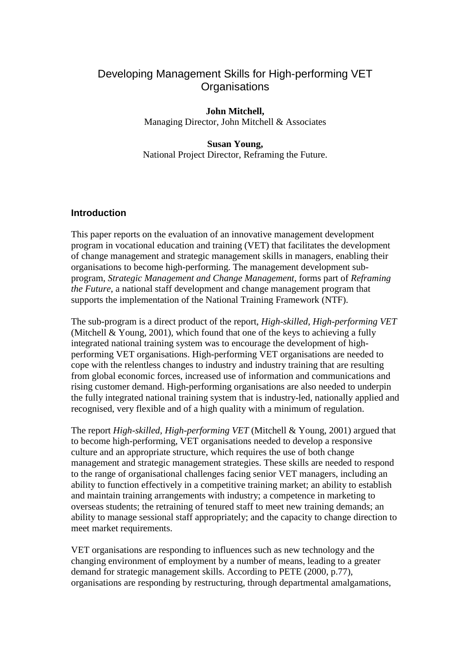# Developing Management Skills for High-performing VET **Organisations**

**John Mitchell,**  Managing Director, John Mitchell & Associates

**Susan Young,**  National Project Director, Reframing the Future.

## **Introduction**

This paper reports on the evaluation of an innovative management development program in vocational education and training (VET) that facilitates the development of change management and strategic management skills in managers, enabling their organisations to become high-performing. The management development subprogram, *Strategic Management and Change Management*, forms part of *Reframing the Future*, a national staff development and change management program that supports the implementation of the National Training Framework (NTF).

The sub-program is a direct product of the report, *High-skilled, High-performing VET*  (Mitchell & Young, 2001)*,* which found that one of the keys to achieving a fully integrated national training system was to encourage the development of highperforming VET organisations. High-performing VET organisations are needed to cope with the relentless changes to industry and industry training that are resulting from global economic forces, increased use of information and communications and rising customer demand. High-performing organisations are also needed to underpin the fully integrated national training system that is industry-led, nationally applied and recognised, very flexible and of a high quality with a minimum of regulation.

The report *High-skilled, High-performing VET* (Mitchell & Young, 2001) argued that to become high-performing, VET organisations needed to develop a responsive culture and an appropriate structure, which requires the use of both change management and strategic management strategies. These skills are needed to respond to the range of organisational challenges facing senior VET managers, including an ability to function effectively in a competitive training market; an ability to establish and maintain training arrangements with industry; a competence in marketing to overseas students; the retraining of tenured staff to meet new training demands; an ability to manage sessional staff appropriately; and the capacity to change direction to meet market requirements.

VET organisations are responding to influences such as new technology and the changing environment of employment by a number of means, leading to a greater demand for strategic management skills. According to PETE (2000, p.77), organisations are responding by restructuring, through departmental amalgamations,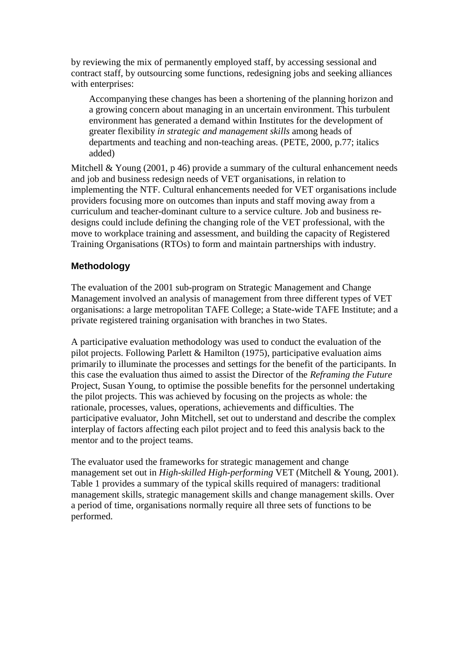by reviewing the mix of permanently employed staff, by accessing sessional and contract staff, by outsourcing some functions, redesigning jobs and seeking alliances with enterprises:

Accompanying these changes has been a shortening of the planning horizon and a growing concern about managing in an uncertain environment. This turbulent environment has generated a demand within Institutes for the development of greater flexibility *in strategic and management skills* among heads of departments and teaching and non-teaching areas. (PETE, 2000, p.77; italics added)

Mitchell & Young (2001, p 46) provide a summary of the cultural enhancement needs and job and business redesign needs of VET organisations, in relation to implementing the NTF. Cultural enhancements needed for VET organisations include providers focusing more on outcomes than inputs and staff moving away from a curriculum and teacher-dominant culture to a service culture. Job and business redesigns could include defining the changing role of the VET professional, with the move to workplace training and assessment, and building the capacity of Registered Training Organisations (RTOs) to form and maintain partnerships with industry.

## **Methodology**

The evaluation of the 2001 sub-program on Strategic Management and Change Management involved an analysis of management from three different types of VET organisations: a large metropolitan TAFE College; a State-wide TAFE Institute; and a private registered training organisation with branches in two States.

A participative evaluation methodology was used to conduct the evaluation of the pilot projects. Following Parlett & Hamilton (1975), participative evaluation aims primarily to illuminate the processes and settings for the benefit of the participants. In this case the evaluation thus aimed to assist the Director of the *Reframing the Future* Project, Susan Young, to optimise the possible benefits for the personnel undertaking the pilot projects. This was achieved by focusing on the projects as whole: the rationale, processes, values, operations, achievements and difficulties. The participative evaluator, John Mitchell, set out to understand and describe the complex interplay of factors affecting each pilot project and to feed this analysis back to the mentor and to the project teams.

The evaluator used the frameworks for strategic management and change management set out in *High-skilled High-performing* VET (Mitchell & Young, 2001). Table 1 provides a summary of the typical skills required of managers: traditional management skills, strategic management skills and change management skills. Over a period of time, organisations normally require all three sets of functions to be performed.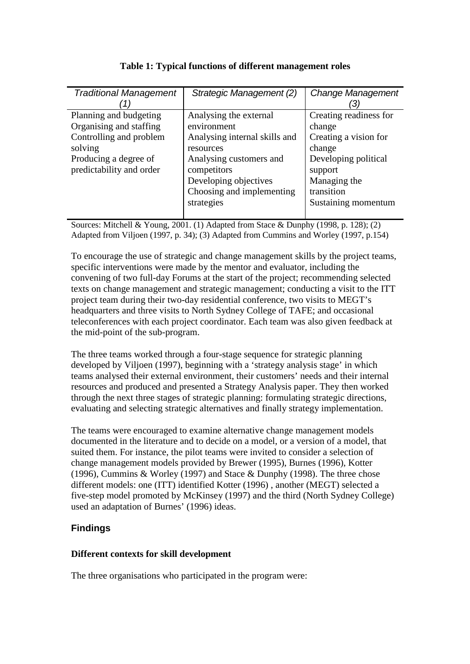| <b>Traditional Management</b>                                                                                                                | Strategic Management (2)                                                                                                                                                            | <b>Change Management</b>                                                                                                             |
|----------------------------------------------------------------------------------------------------------------------------------------------|-------------------------------------------------------------------------------------------------------------------------------------------------------------------------------------|--------------------------------------------------------------------------------------------------------------------------------------|
| Planning and budgeting<br>Organising and staffing<br>Controlling and problem<br>solving<br>Producing a degree of<br>predictability and order | Analysing the external<br>environment<br>Analysing internal skills and<br>resources<br>Analysing customers and<br>competitors<br>Developing objectives<br>Choosing and implementing | Creating readiness for<br>change<br>Creating a vision for<br>change<br>Developing political<br>support<br>Managing the<br>transition |
|                                                                                                                                              | strategies                                                                                                                                                                          | Sustaining momentum                                                                                                                  |

## **Table 1: Typical functions of different management roles**

Sources: Mitchell & Young, 2001. (1) Adapted from Stace & Dunphy (1998, p. 128); (2) Adapted from Viljoen (1997, p. 34); (3) Adapted from Cummins and Worley (1997, p.154)

To encourage the use of strategic and change management skills by the project teams, specific interventions were made by the mentor and evaluator, including the convening of two full-day Forums at the start of the project; recommending selected texts on change management and strategic management; conducting a visit to the ITT project team during their two-day residential conference, two visits to MEGT's headquarters and three visits to North Sydney College of TAFE; and occasional teleconferences with each project coordinator. Each team was also given feedback at the mid-point of the sub-program.

The three teams worked through a four-stage sequence for strategic planning developed by Viljoen (1997), beginning with a 'strategy analysis stage' in which teams analysed their external environment, their customers' needs and their internal resources and produced and presented a Strategy Analysis paper. They then worked through the next three stages of strategic planning: formulating strategic directions, evaluating and selecting strategic alternatives and finally strategy implementation.

The teams were encouraged to examine alternative change management models documented in the literature and to decide on a model, or a version of a model, that suited them. For instance, the pilot teams were invited to consider a selection of change management models provided by Brewer (1995), Burnes (1996), Kotter (1996), Cummins & Worley (1997) and Stace & Dunphy (1998). The three chose different models: one (ITT) identified Kotter (1996) , another (MEGT) selected a five-step model promoted by McKinsey (1997) and the third (North Sydney College) used an adaptation of Burnes' (1996) ideas.

## **Findings**

## **Different contexts for skill development**

The three organisations who participated in the program were: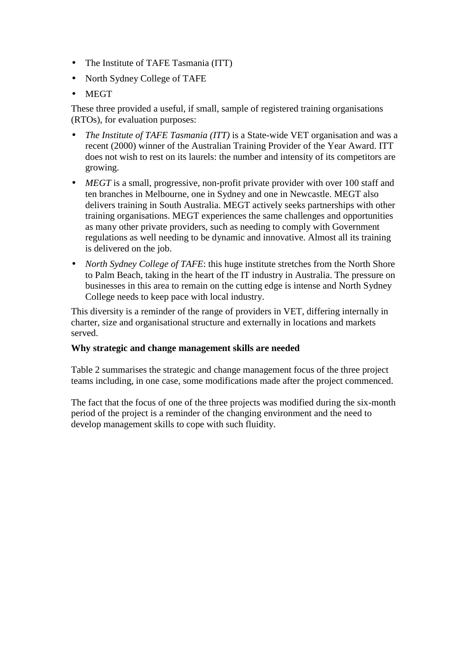- The Institute of TAFE Tasmania (ITT)
- North Sydney College of TAFE
- MEGT

These three provided a useful, if small, sample of registered training organisations (RTOs), for evaluation purposes:

- *The Institute of TAFE Tasmania (ITT)* is a State-wide VET organisation and was a recent (2000) winner of the Australian Training Provider of the Year Award. ITT does not wish to rest on its laurels: the number and intensity of its competitors are growing.
- *MEGT* is a small, progressive, non-profit private provider with over 100 staff and ten branches in Melbourne, one in Sydney and one in Newcastle. MEGT also delivers training in South Australia. MEGT actively seeks partnerships with other training organisations. MEGT experiences the same challenges and opportunities as many other private providers, such as needing to comply with Government regulations as well needing to be dynamic and innovative. Almost all its training is delivered on the job.
- *North Sydney College of TAFE*: this huge institute stretches from the North Shore to Palm Beach, taking in the heart of the IT industry in Australia. The pressure on businesses in this area to remain on the cutting edge is intense and North Sydney College needs to keep pace with local industry.

This diversity is a reminder of the range of providers in VET, differing internally in charter, size and organisational structure and externally in locations and markets served.

#### **Why strategic and change management skills are needed**

Table 2 summarises the strategic and change management focus of the three project teams including, in one case, some modifications made after the project commenced.

The fact that the focus of one of the three projects was modified during the six-month period of the project is a reminder of the changing environment and the need to develop management skills to cope with such fluidity.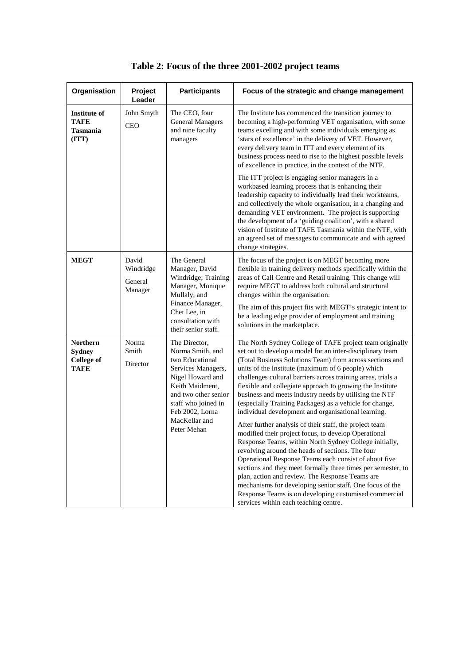| Organisation                                                         | Project<br>Leader                        | <b>Participants</b>                                                                                                                                                                                                 | Focus of the strategic and change management                                                                                                                                                                                                                                                                                                                                                                                                                                                                                                                                                                                                                                                                                                                                                                                                                                                                                                                                                                                                                                                                                |
|----------------------------------------------------------------------|------------------------------------------|---------------------------------------------------------------------------------------------------------------------------------------------------------------------------------------------------------------------|-----------------------------------------------------------------------------------------------------------------------------------------------------------------------------------------------------------------------------------------------------------------------------------------------------------------------------------------------------------------------------------------------------------------------------------------------------------------------------------------------------------------------------------------------------------------------------------------------------------------------------------------------------------------------------------------------------------------------------------------------------------------------------------------------------------------------------------------------------------------------------------------------------------------------------------------------------------------------------------------------------------------------------------------------------------------------------------------------------------------------------|
| Institute of<br><b>TAFE</b><br><b>Tasmania</b><br>(TTT)              | John Smyth<br><b>CEO</b>                 | The CEO, four<br><b>General Managers</b><br>and nine faculty<br>managers                                                                                                                                            | The Institute has commenced the transition journey to<br>becoming a high-performing VET organisation, with some<br>teams excelling and with some individuals emerging as<br>'stars of excellence' in the delivery of VET. However,<br>every delivery team in ITT and every element of its<br>business process need to rise to the highest possible levels<br>of excellence in practice, in the context of the NTF.                                                                                                                                                                                                                                                                                                                                                                                                                                                                                                                                                                                                                                                                                                          |
|                                                                      |                                          |                                                                                                                                                                                                                     | The ITT project is engaging senior managers in a<br>workbased learning process that is enhancing their<br>leadership capacity to individually lead their workteams,<br>and collectively the whole organisation, in a changing and<br>demanding VET environment. The project is supporting<br>the development of a 'guiding coalition', with a shared<br>vision of Institute of TAFE Tasmania within the NTF, with<br>an agreed set of messages to communicate and with agreed<br>change strategies.                                                                                                                                                                                                                                                                                                                                                                                                                                                                                                                                                                                                                         |
| <b>MEGT</b>                                                          | David<br>Windridge<br>General<br>Manager | The General<br>Manager, David<br>Windridge; Training<br>Manager, Monique<br>Mullaly; and<br>Finance Manager,<br>Chet Lee, in<br>consultation with<br>their senior staff.                                            | The focus of the project is on MEGT becoming more<br>flexible in training delivery methods specifically within the<br>areas of Call Centre and Retail training. This change will<br>require MEGT to address both cultural and structural<br>changes within the organisation.<br>The aim of this project fits with MEGT's strategic intent to<br>be a leading edge provider of employment and training<br>solutions in the marketplace.                                                                                                                                                                                                                                                                                                                                                                                                                                                                                                                                                                                                                                                                                      |
| <b>Northern</b><br><b>Sydney</b><br><b>College of</b><br><b>TAFE</b> | Norma<br>Smith<br>Director               | The Director,<br>Norma Smith, and<br>two Educational<br>Services Managers,<br>Nigel Howard and<br>Keith Maidment.<br>and two other senior<br>staff who joined in<br>Feb 2002, Lorna<br>MacKellar and<br>Peter Mehan | The North Sydney College of TAFE project team originally<br>set out to develop a model for an inter-disciplinary team<br>(Total Business Solutions Team) from across sections and<br>units of the Institute (maximum of 6 people) which<br>challenges cultural barriers across training areas, trials a<br>flexible and collegiate approach to growing the Institute<br>business and meets industry needs by utilising the NTF<br>(especially Training Packages) as a vehicle for change,<br>individual development and organisational learning.<br>After further analysis of their staff, the project team<br>modified their project focus, to develop Operational<br>Response Teams, within North Sydney College initially,<br>revolving around the heads of sections. The four<br>Operational Response Teams each consist of about five<br>sections and they meet formally three times per semester, to<br>plan, action and review. The Response Teams are<br>mechanisms for developing senior staff. One focus of the<br>Response Teams is on developing customised commercial<br>services within each teaching centre. |

|  | Table 2: Focus of the three 2001-2002 project teams |  |
|--|-----------------------------------------------------|--|
|  |                                                     |  |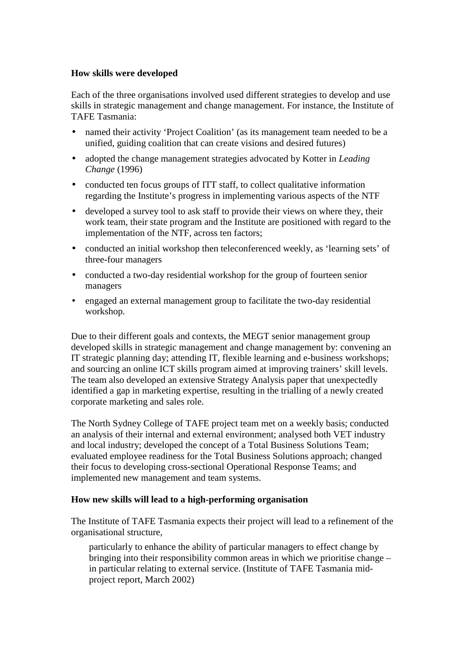#### **How skills were developed**

Each of the three organisations involved used different strategies to develop and use skills in strategic management and change management. For instance, the Institute of TAFE Tasmania:

- named their activity 'Project Coalition' (as its management team needed to be a unified, guiding coalition that can create visions and desired futures)
- adopted the change management strategies advocated by Kotter in *Leading Change* (1996)
- conducted ten focus groups of ITT staff, to collect qualitative information regarding the Institute's progress in implementing various aspects of the NTF
- developed a survey tool to ask staff to provide their views on where they, their work team, their state program and the Institute are positioned with regard to the implementation of the NTF, across ten factors;
- conducted an initial workshop then teleconferenced weekly, as 'learning sets' of three-four managers
- conducted a two-day residential workshop for the group of fourteen senior managers
- engaged an external management group to facilitate the two-day residential workshop.

Due to their different goals and contexts, the MEGT senior management group developed skills in strategic management and change management by: convening an IT strategic planning day; attending IT, flexible learning and e-business workshops; and sourcing an online ICT skills program aimed at improving trainers' skill levels. The team also developed an extensive Strategy Analysis paper that unexpectedly identified a gap in marketing expertise, resulting in the trialling of a newly created corporate marketing and sales role.

The North Sydney College of TAFE project team met on a weekly basis; conducted an analysis of their internal and external environment; analysed both VET industry and local industry; developed the concept of a Total Business Solutions Team; evaluated employee readiness for the Total Business Solutions approach; changed their focus to developing cross-sectional Operational Response Teams; and implemented new management and team systems.

#### **How new skills will lead to a high-performing organisation**

The Institute of TAFE Tasmania expects their project will lead to a refinement of the organisational structure,

particularly to enhance the ability of particular managers to effect change by bringing into their responsibility common areas in which we prioritise change – in particular relating to external service. (Institute of TAFE Tasmania midproject report, March 2002)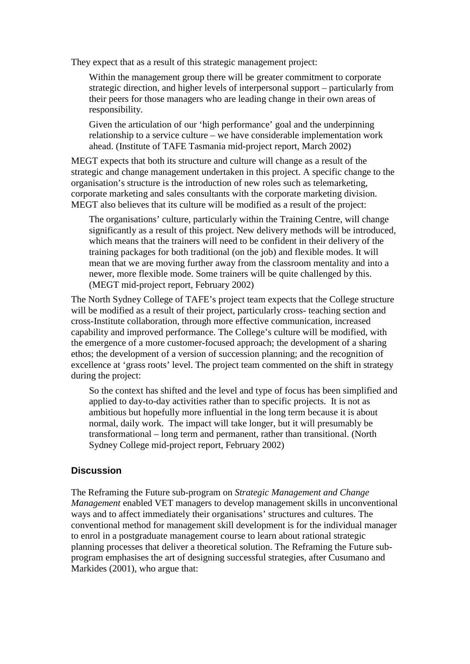They expect that as a result of this strategic management project:

Within the management group there will be greater commitment to corporate strategic direction, and higher levels of interpersonal support – particularly from their peers for those managers who are leading change in their own areas of responsibility.

Given the articulation of our 'high performance' goal and the underpinning relationship to a service culture – we have considerable implementation work ahead. (Institute of TAFE Tasmania mid-project report, March 2002)

MEGT expects that both its structure and culture will change as a result of the strategic and change management undertaken in this project. A specific change to the organisation's structure is the introduction of new roles such as telemarketing, corporate marketing and sales consultants with the corporate marketing division. MEGT also believes that its culture will be modified as a result of the project:

The organisations' culture, particularly within the Training Centre, will change significantly as a result of this project. New delivery methods will be introduced, which means that the trainers will need to be confident in their delivery of the training packages for both traditional (on the job) and flexible modes. It will mean that we are moving further away from the classroom mentality and into a newer, more flexible mode. Some trainers will be quite challenged by this. (MEGT mid-project report, February 2002)

The North Sydney College of TAFE's project team expects that the College structure will be modified as a result of their project, particularly cross- teaching section and cross-Institute collaboration, through more effective communication, increased capability and improved performance. The College's culture will be modified, with the emergence of a more customer-focused approach; the development of a sharing ethos; the development of a version of succession planning; and the recognition of excellence at 'grass roots' level. The project team commented on the shift in strategy during the project:

So the context has shifted and the level and type of focus has been simplified and applied to day-to-day activities rather than to specific projects. It is not as ambitious but hopefully more influential in the long term because it is about normal, daily work. The impact will take longer, but it will presumably be transformational – long term and permanent, rather than transitional. (North Sydney College mid-project report, February 2002)

## **Discussion**

The Reframing the Future sub-program on *Strategic Management and Change Management* enabled VET managers to develop management skills in unconventional ways and to affect immediately their organisations' structures and cultures. The conventional method for management skill development is for the individual manager to enrol in a postgraduate management course to learn about rational strategic planning processes that deliver a theoretical solution. The Reframing the Future subprogram emphasises the art of designing successful strategies, after Cusumano and Markides (2001), who argue that: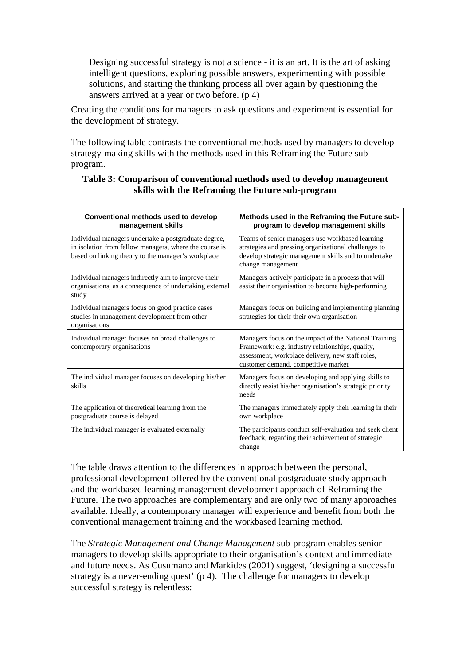Designing successful strategy is not a science - it is an art. It is the art of asking intelligent questions, exploring possible answers, experimenting with possible solutions, and starting the thinking process all over again by questioning the answers arrived at a year or two before. (p 4)

Creating the conditions for managers to ask questions and experiment is essential for the development of strategy.

The following table contrasts the conventional methods used by managers to develop strategy-making skills with the methods used in this Reframing the Future subprogram.

#### **Table 3: Comparison of conventional methods used to develop management skills with the Reframing the Future sub-program**

| Conventional methods used to develop<br>management skills                                                                                                            | Methods used in the Reframing the Future sub-<br>program to develop management skills                                                                                                                |
|----------------------------------------------------------------------------------------------------------------------------------------------------------------------|------------------------------------------------------------------------------------------------------------------------------------------------------------------------------------------------------|
| Individual managers undertake a postgraduate degree,<br>in isolation from fellow managers, where the course is<br>based on linking theory to the manager's workplace | Teams of senior managers use workbased learning<br>strategies and pressing organisational challenges to<br>develop strategic management skills and to undertake<br>change management                 |
| Individual managers indirectly aim to improve their<br>organisations, as a consequence of undertaking external<br>study                                              | Managers actively participate in a process that will<br>assist their organisation to become high-performing                                                                                          |
| Individual managers focus on good practice cases<br>studies in management development from other<br>organisations                                                    | Managers focus on building and implementing planning<br>strategies for their their own organisation                                                                                                  |
| Individual manager focuses on broad challenges to<br>contemporary organisations                                                                                      | Managers focus on the impact of the National Training<br>Framework: e.g. industry relationships, quality,<br>assessment, workplace delivery, new staff roles,<br>customer demand, competitive market |
| The individual manager focuses on developing his/her<br>skills                                                                                                       | Managers focus on developing and applying skills to<br>directly assist his/her organisation's strategic priority<br>needs                                                                            |
| The application of theoretical learning from the<br>postgraduate course is delayed                                                                                   | The managers immediately apply their learning in their<br>own workplace                                                                                                                              |
| The individual manager is evaluated externally                                                                                                                       | The participants conduct self-evaluation and seek client<br>feedback, regarding their achievement of strategic<br>change                                                                             |

The table draws attention to the differences in approach between the personal, professional development offered by the conventional postgraduate study approach and the workbased learning management development approach of Reframing the Future. The two approaches are complementary and are only two of many approaches available. Ideally, a contemporary manager will experience and benefit from both the conventional management training and the workbased learning method.

The *Strategic Management and Change Management* sub-program enables senior managers to develop skills appropriate to their organisation's context and immediate and future needs. As Cusumano and Markides (2001) suggest, 'designing a successful strategy is a never-ending quest' (p 4). The challenge for managers to develop successful strategy is relentless: